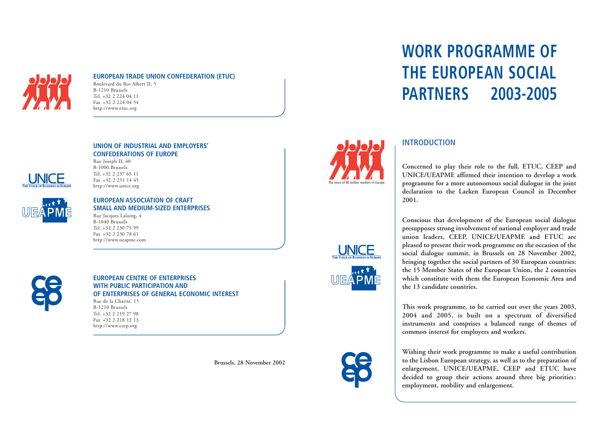# **WORK PROGRAMME OF THE EUROPEAN SOCIAL PARTNERS 2003-2005**









# **INTRODUCTION**

**Concerned to play their role to the full, ETUC, CEEP and UNICE/UEAPME affirmed their intention to develop a work programme for a more autonomous social dialogue in the joint declaration to the Laeken European Council in December 2001.**

**Conscious that development of the European social dialogue presupposes strong involvement of national employer and trade union leaders, CEEP, UNICE/UEAPME and ETUC are pleased to present their work programme on the occasion of the social dialogue summit, in Brussels on 28 November 2002, bringing together the social partners of 30 European countries: the 15 Member States of the European Union, the 2 countries which constitute with them the European Economic Area and the 13 candidate countries.** 

**This work programme, to be carried out over the years 2003, 2004 and 2005, is built on a spectrum of diversified instruments and comprises a balanced range of themes of common interest for employers and workers.** 

**Wishing their work programme to make a useful contribution to the Lisbon European strategy, as well as to the preparation of enlargement, UNICE/UEAPME, CEEP and ETUC have decided to group their actions around three big priorities: employment, mobility and enlargement.** 



### **EUROPEAN TRADE UNION CONFEDERATION (ETUC)**

Boulevard du Roi Albert II, 5 B-1210 Brussels Tel. +32 2 224 04 11 Fax +32 2 224 04 54 http://www.etuc.org





**UNION OF INDUSTRIAL AND EMPLOYERS'** 

**CONFEDERATIONS OF EUROPE** 

#### Rue Joseph II, 40 B-1000 Brussels Tel. +32 2 237 65 11

Fax +32 2 231 14 45 http://www.unice.org

## **EUROPEAN ASSOCIATION OF CRAFT SMALL AND MEDIUM-SIZED ENTERPRISES**

Rue Jacques Lalaing, 4 B-1040 Brussels Tel. +32 2 230 75 99 Fax +32 2 230 78 61 http://www.ueapme.com



#### **EUROPEAN CENTRE OF ENTERPRISES WITH PUBLIC PARTICIPATION AND OF ENTERPRISES OF GENERAL ECONOMIC INTEREST**  Rue de la Charité, 15

B-1210 Brussels Tel. +32 2 219 27 98 Fax +32 2 218 12 13 http://www.ceep.org

**Brussels, 28 November 2002**